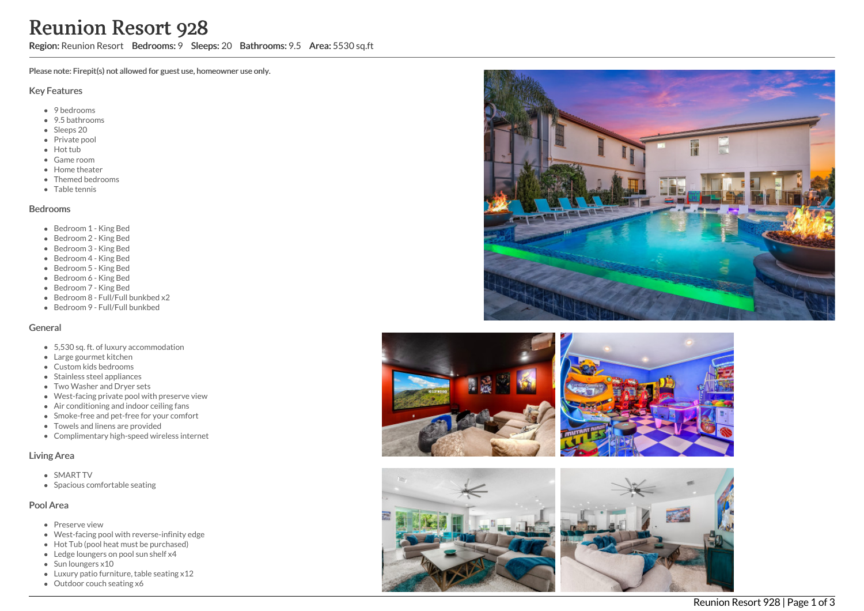# **Reunion Resort 928**<br> **Region:** Reunion Resort Bedrooms: 9 Sleeps: 20 Bathroom<br>
Please note: Fireptit(s) not allowed for guest use, homeowner use only.<br>
Key Features<br>
• 9 bedrooms<br>
• Sleeps: 20<br>
• Frient Resort<br>
• Green t

ms: 9.5 Area: 5530 sq.ft

Please note: Firepit(s) not allowed for guest use, homeowner use only.

### Key Features

- 9 bedrooms
- 9.5 bathrooms
- Sleeps 20
- Private pool
- Hot tub
- Game room
- **•** Home theater
- Themed bedrooms
- Table tennis

### Bedrooms

- Bedroom 1 King Bed
- Bedroom 2 King Bed
- Bedroom 3 King Bed
- Bedroom 4 King Bed
- Bedroom 5 King Bed
- Bedroom 6 King Bed
- Bedroom 7 King Bed
- Bedroom 8 Full/Full bunkbed x2
- Bedroom 9 Full/Full bunkbed

### General

- 5,530 sq. ft. of luxury accommodation
- Large gourmet kitchen
- Custom kids bedrooms
- Stainless steel appliances
- Two Washer and Dryer sets
- West-facing private pool with preserve view
- Air conditioning and indoor ceiling fans
- Smoke-free and pet-free for your comfort
- Towels and linens are provided
- Complimentary high-speed wireless internet

### Living Area

- SMART TV
- Spacious comfortable seating

### Pool Area

- Preserve view
- West-facing pool with reverse-infinity edge
- Hot Tub (pool heat must be purchased)
- Ledge loungers on pool sun shelf x4
- Sun loungers x10
- Luxury patio furniture, table seating x12
- 







Reunion Resort 928 | Page 1 of 3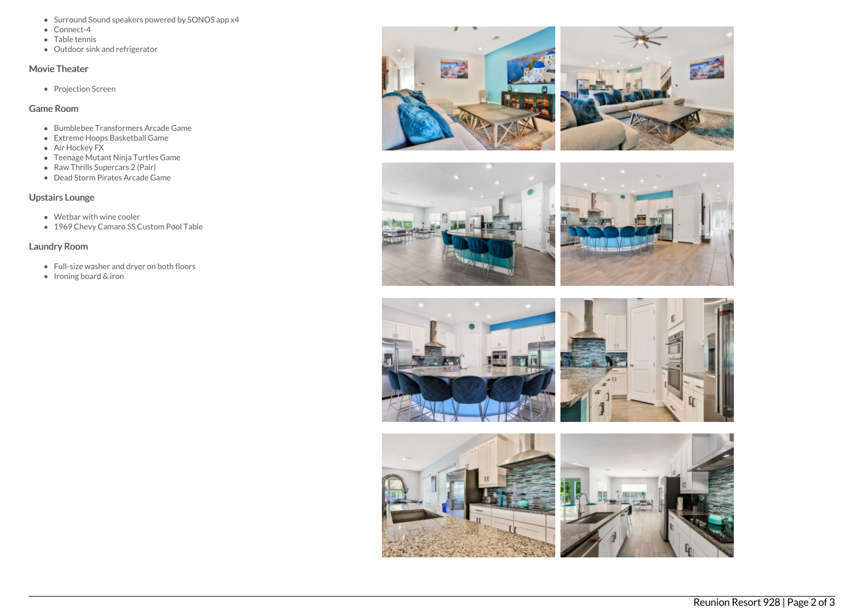- Surround Sound speakers powered by SONOS app x4
- Connect-4
- Table tennis
- Outdoor sink and refrigerator

# Movie Theater

• Projection Screen

# Game Room

- Bumblebee Transformers Arcade Game
- Extreme Hoops Basketball Game
- Air Hockey FX
- Teenage Mutant Ninja Turtles Game
- Raw Thrills Supercars 2 (Pair)
- Dead Storm Pirates Arcade Game

# Upstairs Lounge

- Wetbar with wine cooler
- 1969 Chevy Camaro SS Custom Pool Table

## Laundry Room

- Full-size washer and dryer on both floors
- Ironing board & iron